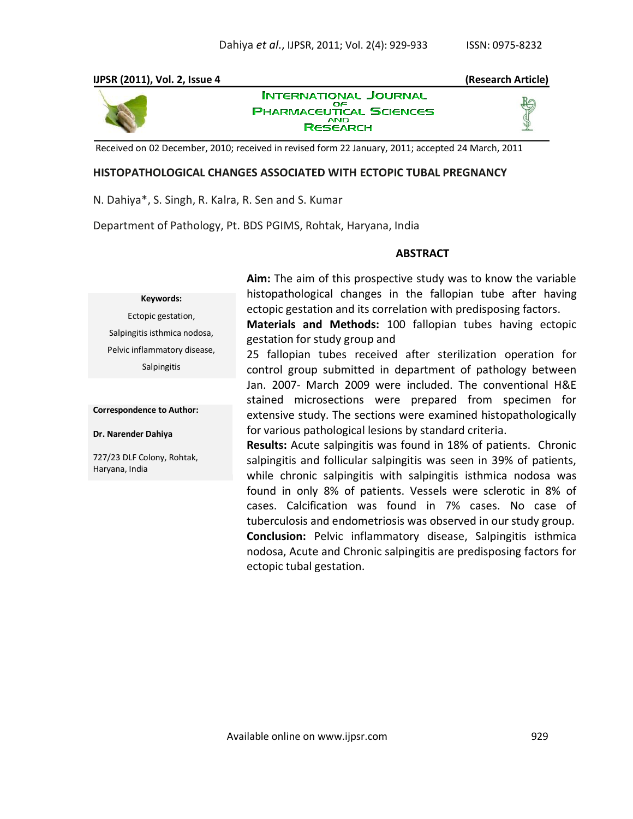## **IJPSR (2011), Vol. 2, Issue 4 (Research Article)**



**INTERNATIONAL JOURNAL** ОF **PHARMACEUTICAL SCIENCES RESEARCH** 



Received on 02 December, 2010; received in revised form 22 January, 2011; accepted 24 March, 2011

## **HISTOPATHOLOGICAL CHANGES ASSOCIATED WITH ECTOPIC TUBAL PREGNANCY**

N. Dahiya\*, S. Singh, R. Kalra, R. Sen and S. Kumar

Department of Pathology, Pt. BDS PGIMS, Rohtak, Haryana, India

## **ABSTRACT**

**Keywords:** Ectopic gestation, Salpingitis isthmica nodosa,

Pelvic inflammatory disease, Salpingitis

**Correspondence to Author:**

**Dr. Narender Dahiya**

727/23 DLF Colony, Rohtak, Haryana, India

**Aim:** The aim of this prospective study was to know the variable histopathological changes in the fallopian tube after having ectopic gestation and its correlation with predisposing factors.

**Materials and Methods:** 100 fallopian tubes having ectopic gestation for study group and

25 fallopian tubes received after sterilization operation for control group submitted in department of pathology between Jan. 2007- March 2009 were included. The conventional H&E stained microsections were prepared from specimen for extensive study. The sections were examined histopathologically for various pathological lesions by standard criteria.

**Results:** Acute salpingitis was found in 18% of patients. Chronic salpingitis and follicular salpingitis was seen in 39% of patients, while chronic salpingitis with salpingitis isthmica nodosa was found in only 8% of patients. Vessels were sclerotic in 8% of cases. Calcification was found in 7% cases. No case of tuberculosis and endometriosis was observed in our study group. **Conclusion:** Pelvic inflammatory disease, Salpingitis isthmica nodosa, Acute and Chronic salpingitis are predisposing factors for ectopic tubal gestation.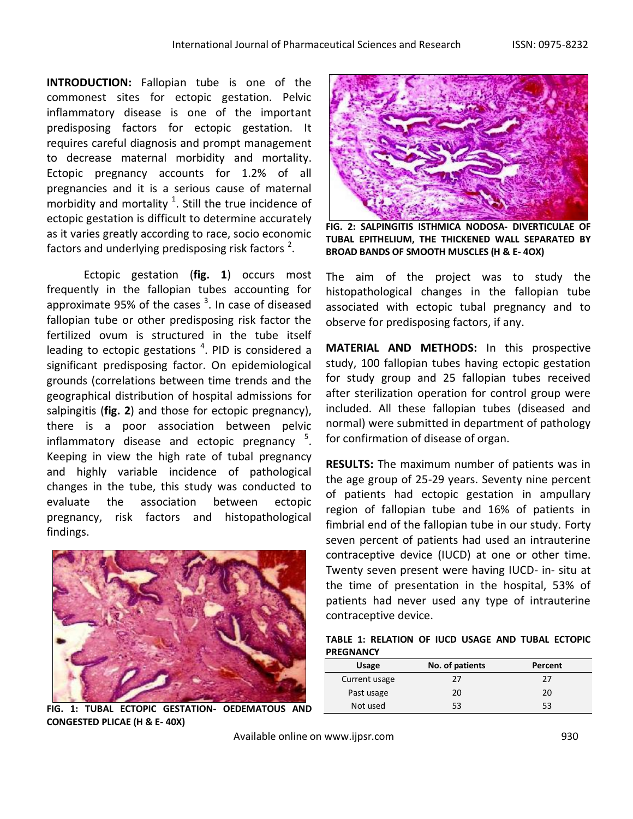**INTRODUCTION:** Fallopian tube is one of the commonest sites for ectopic gestation. Pelvic inflammatory disease is one of the important predisposing factors for ectopic gestation. It requires careful diagnosis and prompt management to decrease maternal morbidity and mortality. Ectopic pregnancy accounts for 1.2% of all pregnancies and it is a serious cause of maternal morbidity and mortality  $^1$ . Still the true incidence of ectopic gestation is difficult to determine accurately as it varies greatly according to race, socio economic factors and underlying predisposing risk factors  $^2$ .

Ectopic gestation (**fig. 1**) occurs most frequently in the fallopian tubes accounting for approximate 95% of the cases  $3$ . In case of diseased fallopian tube or other predisposing risk factor the fertilized ovum is structured in the tube itself leading to ectopic gestations  $4$ . PID is considered a significant predisposing factor. On epidemiological grounds (correlations between time trends and the geographical distribution of hospital admissions for salpingitis (**fig. 2**) and those for ectopic pregnancy), there is a poor association between pelvic inflammatory disease and ectopic pregnancy <sup>5</sup>. Keeping in view the high rate of tubal pregnancy and highly variable incidence of pathological changes in the tube, this study was conducted to evaluate the association between ectopic pregnancy, risk factors and histopathological findings.



**FIG. 1: TUBAL ECTOPIC GESTATION- OEDEMATOUS AND CONGESTED PLICAE (H & E- 40X)**



**FIG. 2: SALPINGITIS ISTHMICA NODOSA- DIVERTICULAE OF TUBAL EPITHELIUM, THE THICKENED WALL SEPARATED BY BROAD BANDS OF SMOOTH MUSCLES (H & E- 4OX)**

The aim of the project was to study the histopathological changes in the fallopian tube associated with ectopic tubal pregnancy and to observe for predisposing factors, if any.

**MATERIAL AND METHODS:** In this prospective study, 100 fallopian tubes having ectopic gestation for study group and 25 fallopian tubes received after sterilization operation for control group were included. All these fallopian tubes (diseased and normal) were submitted in department of pathology for confirmation of disease of organ.

**RESULTS:** The maximum number of patients was in the age group of 25-29 years. Seventy nine percent of patients had ectopic gestation in ampullary region of fallopian tube and 16% of patients in fimbrial end of the fallopian tube in our study. Forty seven percent of patients had used an intrauterine contraceptive device (IUCD) at one or other time. Twenty seven present were having IUCD- in- situ at the time of presentation in the hospital, 53% of patients had never used any type of intrauterine contraceptive device.

**TABLE 1: RELATION OF IUCD USAGE AND TUBAL ECTOPIC PREGNANCY**

| <b>Usage</b>  | No. of patients | Percent |
|---------------|-----------------|---------|
| Current usage | 27              | 27      |
| Past usage    | 20              | 20      |
| Not used      | 53              | 53      |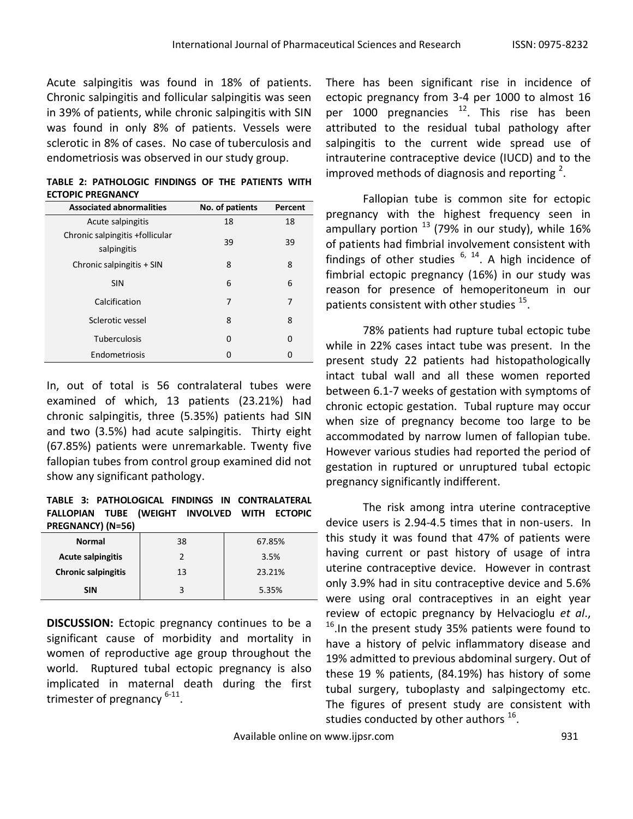Acute salpingitis was found in 18% of patients. Chronic salpingitis and follicular salpingitis was seen in 39% of patients, while chronic salpingitis with SIN was found in only 8% of patients. Vessels were sclerotic in 8% of cases. No case of tuberculosis and endometriosis was observed in our study group.

**TABLE 2: PATHOLOGIC FINDINGS OF THE PATIENTS WITH ECTOPIC PREGNANCY** 

| <b>Associated abnormalities</b>                | No. of patients | Percent |
|------------------------------------------------|-----------------|---------|
| Acute salpingitis                              | 18              | 18      |
| Chronic salpingitis +follicular<br>salpingitis | 39              | 39      |
| Chronic salpingitis + SIN                      | 8               | 8       |
| <b>SIN</b>                                     | 6               | 6       |
| Calcification                                  | 7               | 7       |
| Sclerotic vessel                               | 8               | 8       |
| Tuberculosis                                   | 0               | 0       |
| Endometriosis                                  | 0               | 0       |

In, out of total is 56 contralateral tubes were examined of which, 13 patients (23.21%) had chronic salpingitis, three (5.35%) patients had SIN and two (3.5%) had acute salpingitis. Thirty eight (67.85%) patients were unremarkable. Twenty five fallopian tubes from control group examined did not show any significant pathology.

**TABLE 3: PATHOLOGICAL FINDINGS IN CONTRALATERAL FALLOPIAN TUBE (WEIGHT INVOLVED WITH ECTOPIC PREGNANCY) (N=56)**

| <b>Normal</b>              | 38 | 67.85% |
|----------------------------|----|--------|
| <b>Acute salpingitis</b>   |    | 3.5%   |
| <b>Chronic salpingitis</b> | 13 | 23.21% |
| <b>SIN</b>                 | 3  | 5.35%  |

**DISCUSSION:** Ectopic pregnancy continues to be a significant cause of morbidity and mortality in women of reproductive age group throughout the world. Ruptured tubal ectopic pregnancy is also implicated in maternal death during the first trimester of pregnancy <sup>6-11</sup>.

There has been significant rise in incidence of ectopic pregnancy from 3-4 per 1000 to almost 16 per 1000 pregnancies  $12$ . This rise has been attributed to the residual tubal pathology after salpingitis to the current wide spread use of intrauterine contraceptive device (IUCD) and to the improved methods of diagnosis and reporting  $2$ .

Fallopian tube is common site for ectopic pregnancy with the highest frequency seen in ampullary portion  $^{13}$  (79% in our study), while 16% of patients had fimbrial involvement consistent with findings of other studies  $6, 14$ . A high incidence of fimbrial ectopic pregnancy (16%) in our study was reason for presence of hemoperitoneum in our patients consistent with other studies  $^{15}$ .

78% patients had rupture tubal ectopic tube while in 22% cases intact tube was present. In the present study 22 patients had histopathologically intact tubal wall and all these women reported between 6.1-7 weeks of gestation with symptoms of chronic ectopic gestation. Tubal rupture may occur when size of pregnancy become too large to be accommodated by narrow lumen of fallopian tube. However various studies had reported the period of gestation in ruptured or unruptured tubal ectopic pregnancy significantly indifferent.

The risk among intra uterine contraceptive device users is 2.94-4.5 times that in non-users. In this study it was found that 47% of patients were having current or past history of usage of intra uterine contraceptive device. However in contrast only 3.9% had in situ contraceptive device and 5.6% were using oral contraceptives in an eight year review of ectopic pregnancy by Helvacioglu *et al*., <sup>16</sup>. In the present study 35% patients were found to have a history of pelvic inflammatory disease and 19% admitted to previous abdominal surgery. Out of these 19 % patients, (84.19%) has history of some tubal surgery, tuboplasty and salpingectomy etc. The figures of present study are consistent with studies conducted by other authors  $^{16}$ .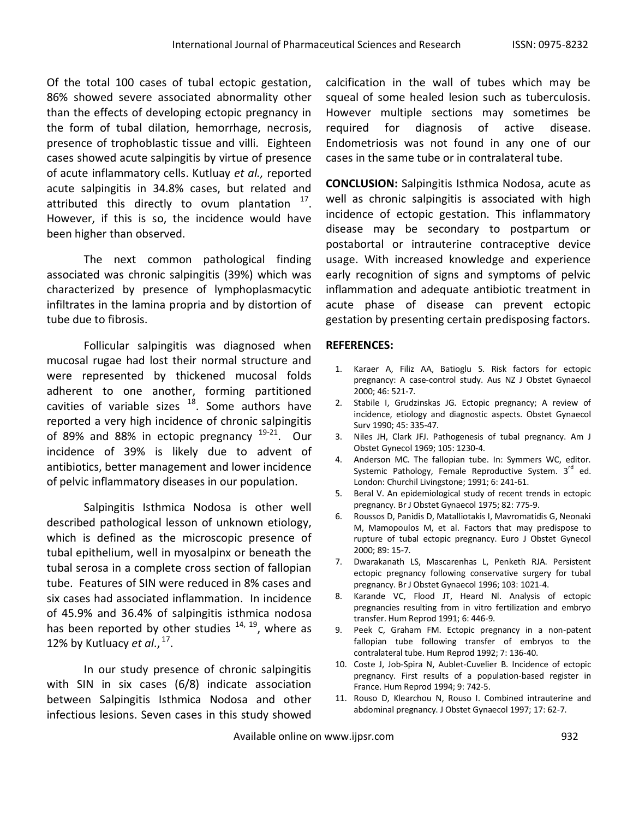Of the total 100 cases of tubal ectopic gestation, 86% showed severe associated abnormality other than the effects of developing ectopic pregnancy in the form of tubal dilation, hemorrhage, necrosis, presence of trophoblastic tissue and villi. Eighteen cases showed acute salpingitis by virtue of presence of acute inflammatory cells. Kutluay *et al.,* reported acute salpingitis in 34.8% cases, but related and attributed this directly to ovum plantation  $17$ . However, if this is so, the incidence would have been higher than observed.

The next common pathological finding associated was chronic salpingitis (39%) which was characterized by presence of lymphoplasmacytic infiltrates in the lamina propria and by distortion of tube due to fibrosis.

Follicular salpingitis was diagnosed when mucosal rugae had lost their normal structure and were represented by thickened mucosal folds adherent to one another, forming partitioned cavities of variable sizes  $18$ . Some authors have reported a very high incidence of chronic salpingitis of 89% and 88% in ectopic pregnancy <sup>19-21</sup>. Our incidence of 39% is likely due to advent of antibiotics, better management and lower incidence of pelvic inflammatory diseases in our population.

Salpingitis Isthmica Nodosa is other well described pathological lesson of unknown etiology, which is defined as the microscopic presence of tubal epithelium, well in myosalpinx or beneath the tubal serosa in a complete cross section of fallopian tube. Features of SIN were reduced in 8% cases and six cases had associated inflammation. In incidence of 45.9% and 36.4% of salpingitis isthmica nodosa has been reported by other studies  $14, 19$ , where as 12% by Kutluacy *et al*., 17 .

In our study presence of chronic salpingitis with SIN in six cases (6/8) indicate association between Salpingitis Isthmica Nodosa and other infectious lesions. Seven cases in this study showed calcification in the wall of tubes which may be squeal of some healed lesion such as tuberculosis. However multiple sections may sometimes be required for diagnosis of active disease. Endometriosis was not found in any one of our cases in the same tube or in contralateral tube.

**CONCLUSION:** Salpingitis Isthmica Nodosa, acute as well as chronic salpingitis is associated with high incidence of ectopic gestation. This inflammatory disease may be secondary to postpartum or postabortal or intrauterine contraceptive device usage. With increased knowledge and experience early recognition of signs and symptoms of pelvic inflammation and adequate antibiotic treatment in acute phase of disease can prevent ectopic gestation by presenting certain predisposing factors.

## **REFERENCES:**

- 1. Karaer A, Filiz AA, Batioglu S. Risk factors for ectopic pregnancy: A case-control study. Aus NZ J Obstet Gynaecol 2000; 46: 521-7.
- 2. Stabile I, Grudzinskas JG. Ectopic pregnancy; A review of incidence, etiology and diagnostic aspects. Obstet Gynaecol Surv 1990; 45: 335-47.
- 3. Niles JH, Clark JFJ. Pathogenesis of tubal pregnancy. Am J Obstet Gynecol 1969; 105: 1230-4.
- 4. Anderson MC. The fallopian tube. In: Symmers WC, editor. Systemic Pathology, Female Reproductive System. 3<sup>rd</sup> ed. London: Churchil Livingstone; 1991; 6: 241-61.
- 5. Beral V. An epidemiological study of recent trends in ectopic pregnancy. Br J Obstet Gynaecol 1975; 82: 775-9.
- 6. Roussos D, Panidis D, Matalliotakis I, Mavromatidis G, Neonaki M, Mamopoulos M, et al. Factors that may predispose to rupture of tubal ectopic pregnancy. Euro J Obstet Gynecol 2000; 89: 15-7.
- 7. Dwarakanath LS, Mascarenhas L, Penketh RJA. Persistent ectopic pregnancy following conservative surgery for tubal pregnancy. Br J Obstet Gynaecol 1996; 103: 1021-4.
- 8. Karande VC, Flood JT, Heard Nl. Analysis of ectopic pregnancies resulting from in vitro fertilization and embryo transfer. Hum Reprod 1991; 6: 446-9.
- 9. Peek C, Graham FM. Ectopic pregnancy in a non-patent fallopian tube following transfer of embryos to the contralateral tube. Hum Reprod 1992; 7: 136-40.
- 10. Coste J, Job-Spira N, Aublet-Cuvelier B. Incidence of ectopic pregnancy. First results of a population-based register in France. Hum Reprod 1994; 9: 742-5.
- 11. Rouso D, Klearchou N, Rouso I. Combined intrauterine and abdominal pregnancy. J Obstet Gynaecol 1997; 17: 62-7.

Available online on www.ijpsr.com 932